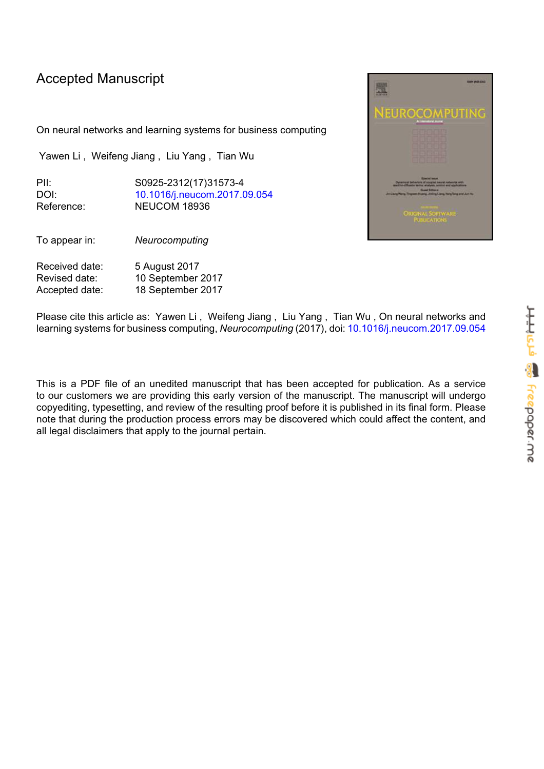# Accepted Manuscript

On neural networks and learning systems for business computing

Yawen Li , Weifeng Jiang , Liu Yang , Tian Wu

PII: S0925-2312(17)31573-4 DOI: [10.1016/j.neucom.2017.09.054](https://doi.org/10.1016/j.neucom.2017.09.054) Reference: NEUCOM 18936

To appear in: *Neurocomputing*

Received date: 5 August 2017 Revised date: 10 September 2017 Accepted date: 18 September 2017



Please cite this article as: Yawen Li , Weifeng Jiang , Liu Yang , Tian Wu , On neural networks and learning systems for business computing, *Neurocomputing* (2017), doi: [10.1016/j.neucom.2017.09.054](https://doi.org/10.1016/j.neucom.2017.09.054)

This is a PDF file of an unedited manuscript that has been accepted for publication. As a service to our customers we are providing this early version of the manuscript. The manuscript will undergo copyediting, typesetting, and review of the resulting proof before it is published in its final form. Please note that during the production process errors may be discovered which could affect the content, and all legal disclaimers that apply to the journal pertain.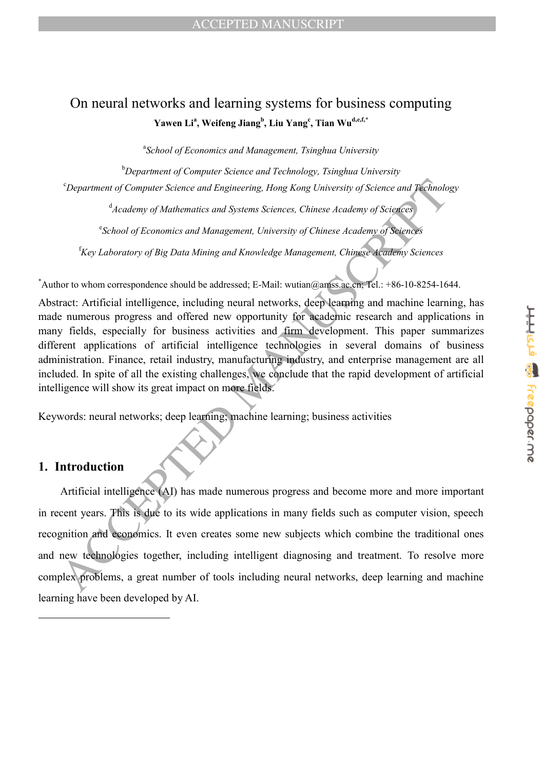# On neural networks and learning systems for business computing **Yawen Li<sup>a</sup> , Weifeng Jiang<sup>b</sup> , Liu Yang<sup>c</sup> , Tian Wud,e,f,\***

a *School of Economics and Management, Tsinghua University*

<sup>b</sup>*Department of Computer Science and Technology, Tsinghua University*

<sup>c</sup>*Department of Computer Science and Engineering, Hong Kong University of Science and Technology*

d *Academy of Mathematics and Systems Sciences, Chinese Academy of Sciences*

e *School of Economics and Management, University of Chinese Academy of Sciences*

<sup>f</sup>*Key Laboratory of Big Data Mining and Knowledge Management, Chinese Academy Sciences*

**\***Author to whom correspondence should be addressed; E-Mail: wutian@amss.ac.cn; Tel.: +86-10-8254-1644.

Abstract: Artificial intelligence, including neural networks, deep learning and machine learning, has made numerous progress and offered new opportunity for academic research and applications in many fields, especially for business activities and firm development. This paper summarizes different applications of artificial intelligence technologies in several domains of business administration. Finance, retail industry, manufacturing industry, and enterprise management are all included. In spite of all the existing challenges, we conclude that the rapid development of artificial intelligence will show its great impact on more fields.

Keywords: neural networks; deep learning; machine learning; business activities

## **1. Introduction**

 $\overline{a}$ 

Comparement of Computer Science and Engineering, Hong Kong University of Science and Technolom and Sciences and Sciences and Sciences. Chinese Academy of Sciences (Sciences) (Sciences) (Sciences) (Sciences) (Sciences) (Sci Artificial intelligence (AI) has made numerous progress and become more and more important in recent years. This is due to its wide applications in many fields such as computer vision, speech recognition and economics. It even creates some new subjects which combine the traditional ones and new technologies together, including intelligent diagnosing and treatment. To resolve more complex problems, a great number of tools including neural networks, deep learning and machine learning have been developed by AI.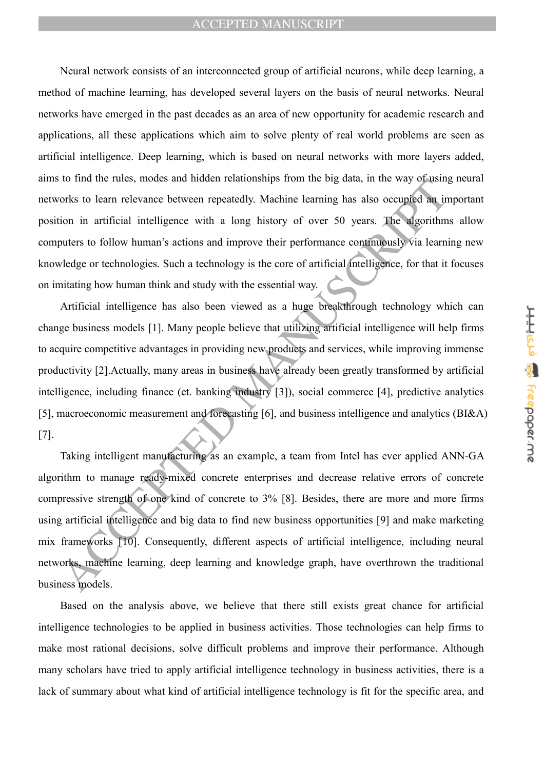Neural network consists of an interconnected group of artificial neurons, while deep learning, a method of machine learning, has developed several layers on the basis of neural networks. Neural networks have emerged in the past decades as an area of new opportunity for academic research and applications, all these applications which aim to solve plenty of real world problems are seen as artificial intelligence. Deep learning, which is based on neural networks with more layers added, aims to find the rules, modes and hidden relationships from the big data, in the way of using neural networks to learn relevance between repeatedly. Machine learning has also occupied an important position in artificial intelligence with a long history of over 50 years. The algorithms allow computers to follow human's actions and improve their performance continuously via learning new knowledge or technologies. Such a technology is the core of artificial intelligence, for that it focuses on imitating how human think and study with the essential way.

to imathe rules, motes and motent reationships from the oig data, in the way obtained<br>or or in a ratificial intelligence with a long history of over 50 years. The algorithm<br>ion in artificial intelligence with a long histor Artificial intelligence has also been viewed as a huge breakthrough technology which can change business models [1]. Many people believe that utilizing artificial intelligence will help firms to acquire competitive advantages in providing new products and services, while improving immense productivity [2].Actually, many areas in business have already been greatly transformed by artificial intelligence, including finance (et. banking industry [3]), social commerce [4], predictive analytics [5], macroeconomic measurement and forecasting [6], and business intelligence and analytics (BI&A) [7].

Taking intelligent manufacturing as an example, a team from Intel has ever applied ANN-GA algorithm to manage ready-mixed concrete enterprises and decrease relative errors of concrete compressive strength of one kind of concrete to 3% [8]. Besides, there are more and more firms using artificial intelligence and big data to find new business opportunities [9] and make marketing mix frameworks [10]. Consequently, different aspects of artificial intelligence, including neural networks, machine learning, deep learning and knowledge graph, have overthrown the traditional business models.

Based on the analysis above, we believe that there still exists great chance for artificial intelligence technologies to be applied in business activities. Those technologies can help firms to make most rational decisions, solve difficult problems and improve their performance. Although many scholars have tried to apply artificial intelligence technology in business activities, there is a lack of summary about what kind of artificial intelligence technology is fit for the specific area, and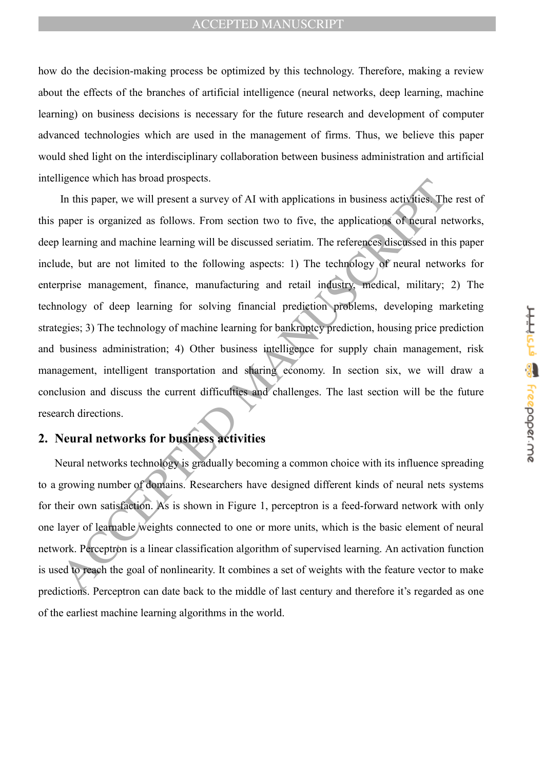how do the decision-making process be optimized by this technology. Therefore, making a review about the effects of the branches of artificial intelligence (neural networks, deep learning, machine learning) on business decisions is necessary for the future research and development of computer advanced technologies which are used in the management of firms. Thus, we believe this paper would shed light on the interdisciplinary collaboration between business administration and artificial intelligence which has broad prospects.

metric wine mas broad prospects.<br>
In this paper, we will present a survey of AI with applications in business activities. The<br>
hearning and machine learning will be discussed seriation. The references discussed in the<br>
lea In this paper, we will present a survey of AI with applications in business activities. The rest of this paper is organized as follows. From section two to five, the applications of neural networks, deep learning and machine learning will be discussed seriatim. The references discussed in this paper include, but are not limited to the following aspects: 1) The technology of neural networks for enterprise management, finance, manufacturing and retail industry, medical, military; 2) The technology of deep learning for solving financial prediction problems, developing marketing strategies; 3) The technology of machine learning for bankruptcy prediction, housing price prediction and business administration; 4) Other business intelligence for supply chain management, risk management, intelligent transportation and sharing economy. In section six, we will draw a conclusion and discuss the current difficulties and challenges. The last section will be the future research directions.

## **2. Neural networks for business activities**

Neural networks technology is gradually becoming a common choice with its influence spreading to a growing number of domains. Researchers have designed different kinds of neural nets systems for their own satisfaction. As is shown in Figure 1, perceptron is a feed-forward network with only one layer of learnable weights connected to one or more units, which is the basic element of neural network. Perceptron is a linear classification algorithm of supervised learning. An activation function is used to reach the goal of nonlinearity. It combines a set of weights with the feature vector to make predictions. Perceptron can date back to the middle of last century and therefore it's regarded as one of the earliest machine learning algorithms in the world.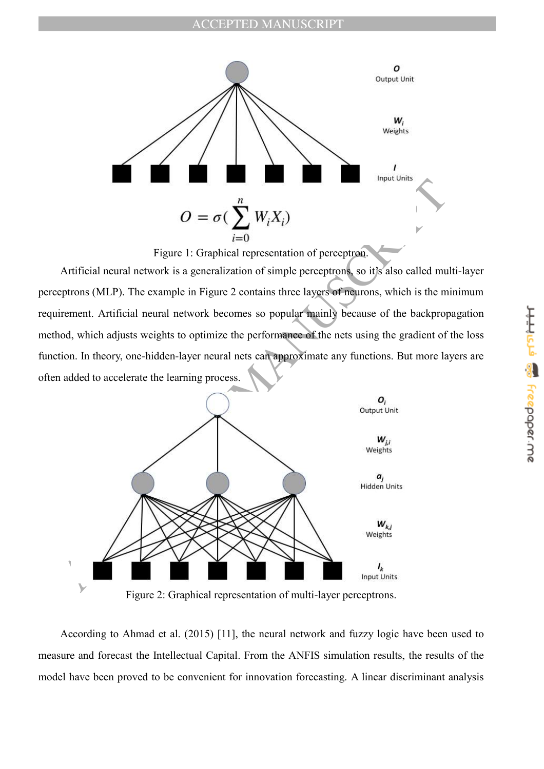

Figure 1: Graphical representation of perceptron.

Artificial neural network is a generalization of simple perceptrons, so it's also called multi-layer perceptrons (MLP). The example in Figure 2 contains three layers of neurons, which is the minimum requirement. Artificial neural network becomes so popular mainly because of the backpropagation method, which adjusts weights to optimize the performance of the nets using the gradient of the loss function. In theory, one-hidden-layer neural nets can approximate any functions. But more layers are often added to accelerate the learning process.



Figure 2: Graphical representation of multi-layer perceptrons.

According to Ahmad et al. (2015) [11], the neural network and fuzzy logic have been used to measure and forecast the Intellectual Capital. From the ANFIS simulation results, the results of the model have been proved to be convenient for innovation forecasting. A linear discriminant analysis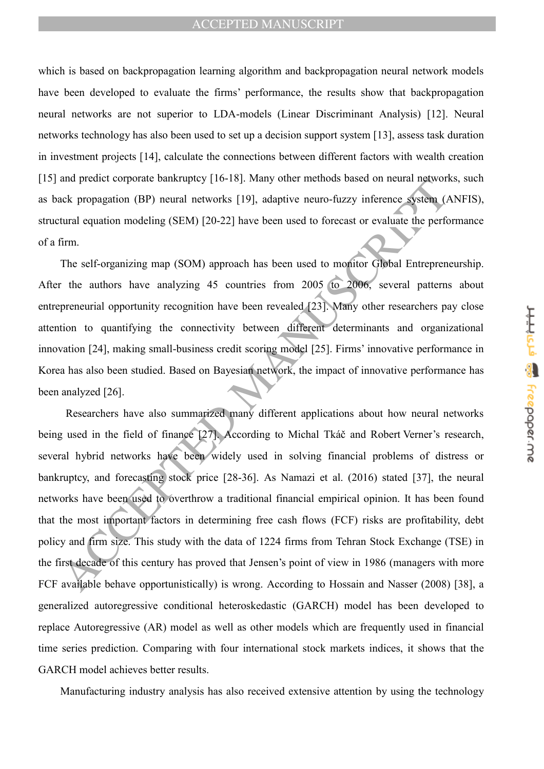which is based on backpropagation learning algorithm and backpropagation neural network models have been developed to evaluate the firms' performance, the results show that backpropagation neural networks are not superior to LDA-models (Linear Discriminant Analysis) [12]. Neural networks technology has also been used to set up a decision support system [13], assess task duration in investment projects [14], calculate the connections between different factors with wealth creation [15] and predict corporate bankruptcy [16-18]. Many other methods based on neural networks, such as back propagation (BP) neural networks [19], adaptive neuro-fuzzy inference system (ANFIS), structural equation modeling (SEM) [20-22] have been used to forecast or evaluate the performance of a firm.

The self-organizing map (SOM) approach has been used to monitor Global Entrepreneurship. After the authors have analyzing 45 countries from 2005 to 2006, several patterns about entrepreneurial opportunity recognition have been revealed [23]. Many other researchers pay close attention to quantifying the connectivity between different determinants and organizational innovation [24], making small-business credit scoring model [25]. Firms' innovative performance in Korea has also been studied. Based on Bayesian network, the impact of innovative performance has been analyzed [26].

and piecare conjoust bank uppery [10-16]. Wany onter methods based on metaar nigoword<br>teck propagation (BP) neural networks [19], adaptive neuro-fuzzy inference system (*I*<br>tural equation modeling (SEM) [20-22] have been u Researchers have also summarized many different applications about how neural networks being used in the field of finance [27]. According to Michal Tkáč and Robert Verner's research, several hybrid networks have been widely used in solving financial problems of distress or bankruptcy, and forecasting stock price [28-36]. As Namazi et al. (2016) stated [37], the neural networks have been used to overthrow a traditional financial empirical opinion. It has been found that the most important factors in determining free cash flows (FCF) risks are profitability, debt policy and firm size. This study with the data of 1224 firms from Tehran Stock Exchange (TSE) in the first decade of this century has proved that Jensen's point of view in 1986 (managers with more FCF available behave opportunistically) is wrong. According to Hossain and Nasser (2008) [38], a generalized autoregressive conditional heteroskedastic (GARCH) model has been developed to replace Autoregressive (AR) model as well as other models which are frequently used in financial time series prediction. Comparing with four international stock markets indices, it shows that the GARCH model achieves better results.

Manufacturing industry analysis has also received extensive attention by using the technology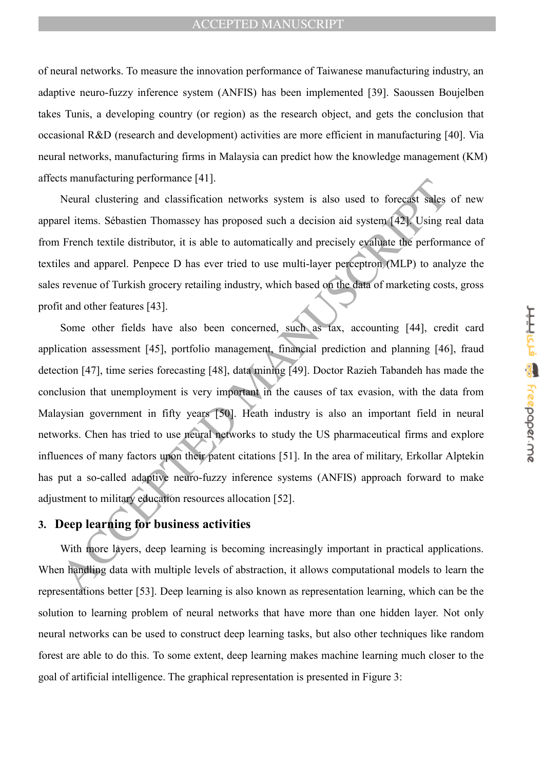of neural networks. To measure the innovation performance of Taiwanese manufacturing industry, an adaptive neuro-fuzzy inference system (ANFIS) has been implemented [39]. Saoussen Boujelben takes Tunis, a developing country (or region) as the research object, and gets the conclusion that occasional R&D (research and development) activities are more efficient in manufacturing [40]. Via neural networks, manufacturing firms in Malaysia can predict how the knowledge management (KM) affects manufacturing performance [41].

Neural clustering and classification networks system is also used to forecast sales of new apparel items. Sébastien Thomassey has proposed such a decision aid system [42]. Using real data from French textile distributor, it is able to automatically and precisely evaluate the performance of textiles and apparel. Penpece D has ever tried to use multi-layer perceptron (MLP) to analyze the sales revenue of Turkish grocery retailing industry, which based on the data of marketing costs, gross profit and other features [43].

As manuacuaring performance  $\left[\frac{1}{2}\right]$ .<br>
Neural elustering and elassification networks system is also used to force of sales<br>
rel items. Schastion Thomassy has proposed such a decision aid system  $\left\{22\right\}$  Using r<br> Some other fields have also been concerned, such as tax, accounting [44], credit card application assessment [45], portfolio management, financial prediction and planning [46], fraud detection [47], time series forecasting [48], data mining [49]. Doctor Razieh Tabandeh has made the conclusion that unemployment is very important in the causes of tax evasion, with the data from Malaysian government in fifty years [50]. Heath industry is also an important field in neural networks. Chen has tried to use neural networks to study the US pharmaceutical firms and explore influences of many factors upon their patent citations [51]. In the area of military, Erkollar Alptekin has put a so-called adaptive neuro-fuzzy inference systems (ANFIS) approach forward to make adjustment to military education resources allocation [52].

## **3. Deep learning for business activities**

With more layers, deep learning is becoming increasingly important in practical applications. When handling data with multiple levels of abstraction, it allows computational models to learn the representations better [53]. Deep learning is also known as representation learning, which can be the solution to learning problem of neural networks that have more than one hidden layer. Not only neural networks can be used to construct deep learning tasks, but also other techniques like random forest are able to do this. To some extent, deep learning makes machine learning much closer to the goal of artificial intelligence. The graphical representation is presented in Figure 3: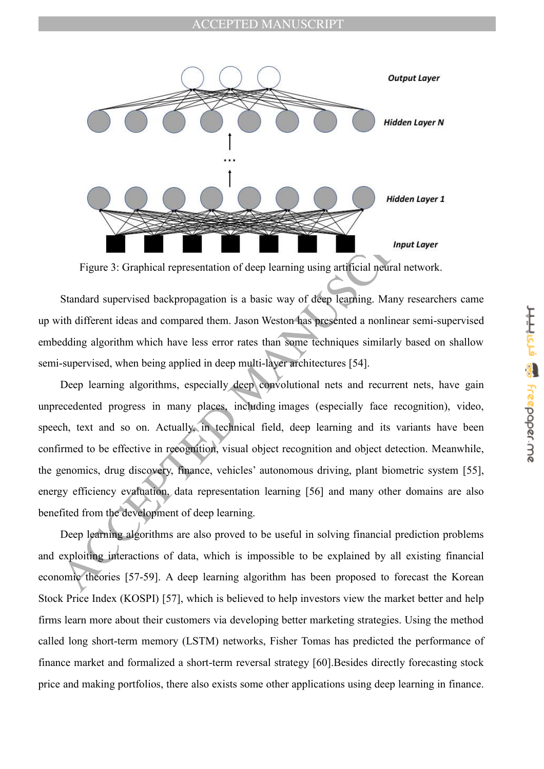

Figure 3: Graphical representation of deep learning using artificial neural network.

Standard supervised backpropagation is a basic way of deep learning. Many researchers came up with different ideas and compared them. Jason Weston has presented a nonlinear semi-supervised embedding algorithm which have less error rates than some techniques similarly based on shallow semi-supervised, when being applied in deep multi-layer architectures [54].

**Example 18**<br> **Example 18 Complical representation of deep learning using artificial noticial retwork.**<br> **Example 18 Complical representation of deep learning using artificial noticial retwork.**<br> **Standard supervised backp** Deep learning algorithms, especially deep convolutional nets and recurrent nets, have gain unprecedented progress in many places, including images (especially face recognition), video, speech, text and so on. Actually, in technical field, deep learning and its variants have been confirmed to be effective in recognition, visual object recognition and object detection. Meanwhile, the genomics, drug discovery, finance, vehicles' autonomous driving, plant biometric system [55], energy efficiency evaluation, data representation learning [56] and many other domains are also benefited from the development of deep learning.

Deep learning algorithms are also proved to be useful in solving financial prediction problems and exploiting interactions of data, which is impossible to be explained by all existing financial economic theories [57-59]. A deep learning algorithm has been proposed to forecast the Korean Stock Price Index (KOSPI) [57], which is believed to help investors view the market better and help firms learn more about their customers via developing better marketing strategies. Using the method called long short-term memory (LSTM) networks, Fisher Tomas has predicted the performance of finance market and formalized a short-term reversal strategy [60].Besides directly forecasting stock price and making portfolios, there also exists some other applications using deep learning in finance.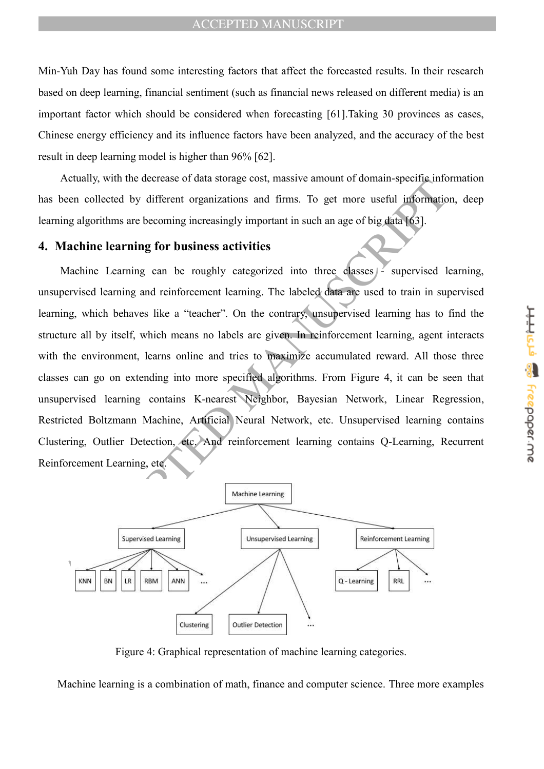Min-Yuh Day has found some interesting factors that affect the forecasted results. In their research based on deep learning, financial sentiment (such as financial news released on different media) is an important factor which should be considered when forecasting [61].Taking 30 provinces as cases, Chinese energy efficiency and its influence factors have been analyzed, and the accuracy of the best result in deep learning model is higher than 96% [62].

Actually, with the decrease of data storage cost, massive amount of domain-specific information has been collected by different organizations and firms. To get more useful information, deep learning algorithms are becoming increasingly important in such an age of big data [63].

## **4. Machine learning for business activities**

Acceleration content to the content to the content to the content to the content of the content of the content<br>
Machine learning and reinforcement in such an age of big data 163].<br>
Machine learning for business activities<br> Machine Learning can be roughly categorized into three classes  $\frac{1}{2}$  supervised learning, unsupervised learning and reinforcement learning. The labeled data are used to train in supervised learning, which behaves like a "teacher". On the contrary, unsupervised learning has to find the structure all by itself, which means no labels are given. In reinforcement learning, agent interacts with the environment, learns online and tries to maximize accumulated reward. All those three classes can go on extending into more specified algorithms. From Figure 4, it can be seen that unsupervised learning contains K-nearest Neighbor, Bayesian Network, Linear Regression, Restricted Boltzmann Machine, Artificial Neural Network, etc. Unsupervised learning contains Clustering, Outlier Detection, etc. And reinforcement learning contains Q-Learning, Recurrent Reinforcement Learning, etc.



Figure 4: Graphical representation of machine learning categories.

Machine learning is a combination of math, finance and computer science. Three more examples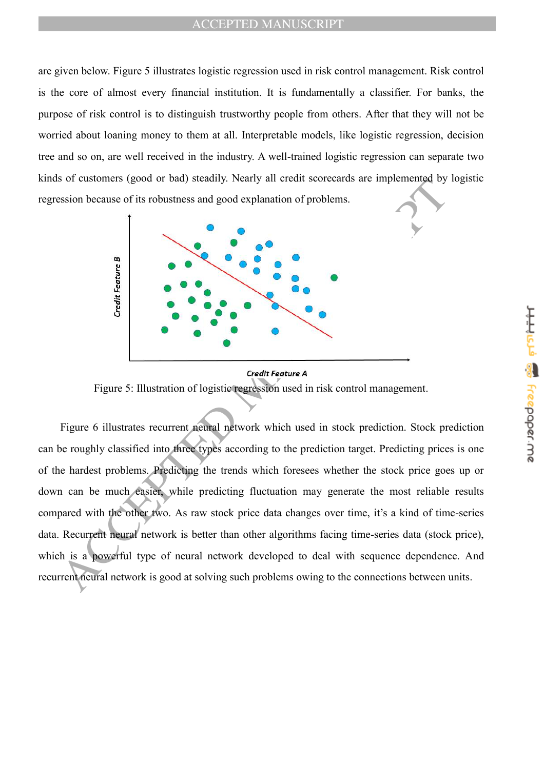are given below. Figure 5 illustrates logistic regression used in risk control management. Risk control is the core of almost every financial institution. It is fundamentally a classifier. For banks, the purpose of risk control is to distinguish trustworthy people from others. After that they will not be worried about loaning money to them at all. Interpretable models, like logistic regression, decision tree and so on, are well received in the industry. A well-trained logistic regression can separate two kinds of customers (good or bad) steadily. Nearly all credit scorecards are implemented by logistic regression because of its robustness and good explanation of problems.



Figure 5: Illustration of logistic regression used in risk control management.

Signal of the state of the state of the state of the state of the state of the state of the state of the state of the state of the state of the state of the state of the state of the state of the state of the state of the Figure 6 illustrates recurrent neural network which used in stock prediction. Stock prediction can be roughly classified into three types according to the prediction target. Predicting prices is one of the hardest problems. Predicting the trends which foresees whether the stock price goes up or down can be much easier, while predicting fluctuation may generate the most reliable results compared with the other two. As raw stock price data changes over time, it's a kind of time-series data. Recurrent neural network is better than other algorithms facing time-series data (stock price), which is a powerful type of neural network developed to deal with sequence dependence. And recurrent neural network is good at solving such problems owing to the connections between units.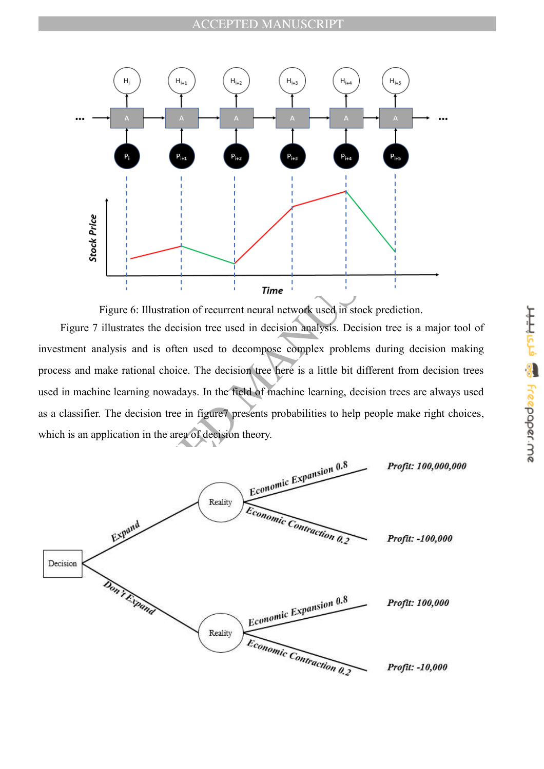

Figure 6: Illustration of recurrent neural network used in stock prediction.

Figure 7 illustrates the decision tree used in decision analysis. Decision tree is a major tool of investment analysis and is often used to decompose complex problems during decision making process and make rational choice. The decision tree here is a little bit different from decision trees used in machine learning nowadays. In the field of machine learning, decision trees are always used as a classifier. The decision tree in figure7 presents probabilities to help people make right choices, which is an application in the area of decision theory.

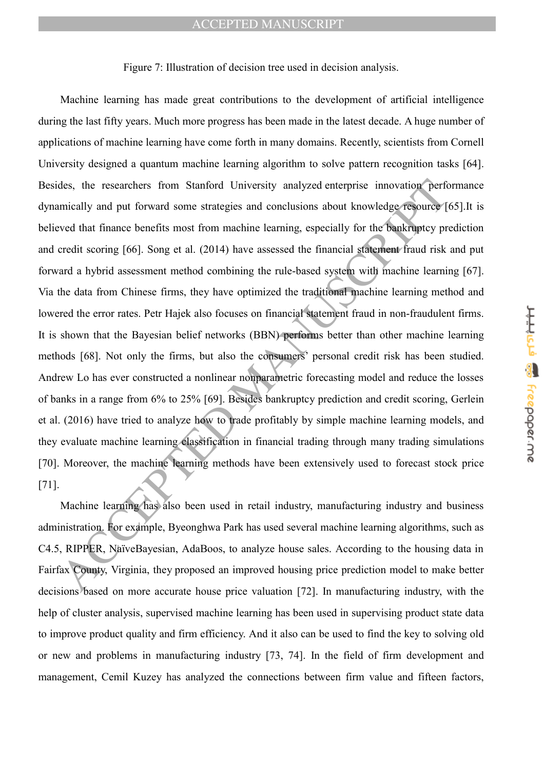#### Figure 7: Illustration of decision tree used in decision analysis.

des, the researchers from Stanford University analyzed enterprise innovation performically and put forward some strategies and conclusions about knowledge resource (<br>event that finance benefits most from machine learning, Machine learning has made great contributions to the development of artificial intelligence during the last fifty years. Much more progress has been made in the latest decade. A huge number of applications of machine learning have come forth in many domains. Recently, scientists from Cornell University designed a quantum machine learning algorithm to solve pattern recognition tasks [64]. Besides, the researchers from Stanford University analyzed enterprise innovation performance dynamically and put forward some strategies and conclusions about knowledge resource [65].It is believed that finance benefits most from machine learning, especially for the bankruptcy prediction and credit scoring [66]. Song et al. (2014) have assessed the financial statement fraud risk and put forward a hybrid assessment method combining the rule-based system with machine learning [67]. Via the data from Chinese firms, they have optimized the traditional machine learning method and lowered the error rates. Petr Hajek also focuses on financial statement fraud in non-fraudulent firms. It is shown that the Bayesian belief networks (BBN) performs better than other machine learning methods [68]. Not only the firms, but also the consumers' personal credit risk has been studied. Andrew Lo has ever constructed a nonlinear nonparametric forecasting model and reduce the losses of banks in a range from 6% to 25% [69]. Besides bankruptcy prediction and credit scoring, Gerlein et al. (2016) have tried to analyze how to trade profitably by simple machine learning models, and they evaluate machine learning classification in financial trading through many trading simulations [70]. Moreover, the machine learning methods have been extensively used to forecast stock price [71].

Machine learning has also been used in retail industry, manufacturing industry and business administration. For example, Byeonghwa Park has used several machine learning algorithms, such as C4.5, RIPPER, NaïveBayesian, AdaBoos, to analyze house sales. According to the housing data in Fairfax County, Virginia, they proposed an improved housing price prediction model to make better decisions based on more accurate house price valuation [72]. In manufacturing industry, with the help of cluster analysis, supervised machine learning has been used in supervising product state data to improve product quality and firm efficiency. And it also can be used to find the key to solving old or new and problems in manufacturing industry [73, 74]. In the field of firm development and management, Cemil Kuzey has analyzed the connections between firm value and fifteen factors,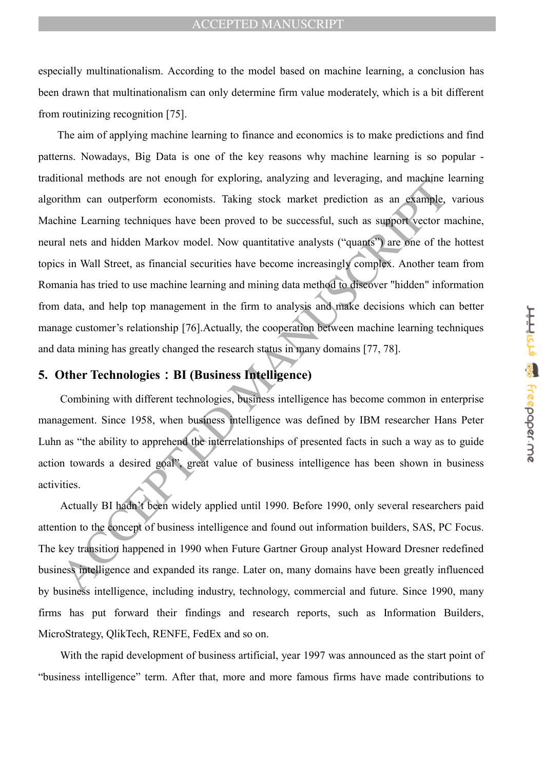especially multinationalism. According to the model based on machine learning, a conclusion has been drawn that multinationalism can only determine firm value moderately, which is a bit different from routinizing recognition [75].

ation methods are not chonger to exploring, analyzing and reveraging, and magnine in<br>this carring techniques have been proved to be successful, such as support vector n<br>and hat stand hidden Markov model. Now quantitative a The aim of applying machine learning to finance and economics is to make predictions and find patterns. Nowadays, Big Data is one of the key reasons why machine learning is so popular traditional methods are not enough for exploring, analyzing and leveraging, and machine learning algorithm can outperform economists. Taking stock market prediction as an example, various Machine Learning techniques have been proved to be successful, such as support vector machine, neural nets and hidden Markov model. Now quantitative analysts ("quants") are one of the hottest topics in Wall Street, as financial securities have become increasingly complex. Another team from Romania has tried to use machine learning and mining data method to discover "hidden" information from data, and help top management in the firm to analysis and make decisions which can better manage customer's relationship [76].Actually, the cooperation between machine learning techniques and data mining has greatly changed the research status in many domains [77, 78].

## **5. Other Technologies**:**BI (Business Intelligence)**

Combining with different technologies, business intelligence has become common in enterprise management. Since 1958, when business intelligence was defined by IBM researcher Hans Peter Luhn as "the ability to apprehend the interrelationships of presented facts in such a way as to guide action towards a desired goal", great value of business intelligence has been shown in business activities.

Actually BI hadn't been widely applied until 1990. Before 1990, only several researchers paid attention to the concept of business intelligence and found out information builders, SAS, PC Focus. The key transition happened in 1990 when Future Gartner Group analyst Howard Dresner redefined business intelligence and expanded its range. Later on, many domains have been greatly influenced by business intelligence, including industry, technology, commercial and future. Since 1990, many firms has put forward their findings and research reports, such as Information Builders, MicroStrategy, QlikTech, RENFE, FedEx and so on.

With the rapid development of business artificial, year 1997 was announced as the start point of ―business intelligence‖ term. After that, more and more famous firms have made contributions to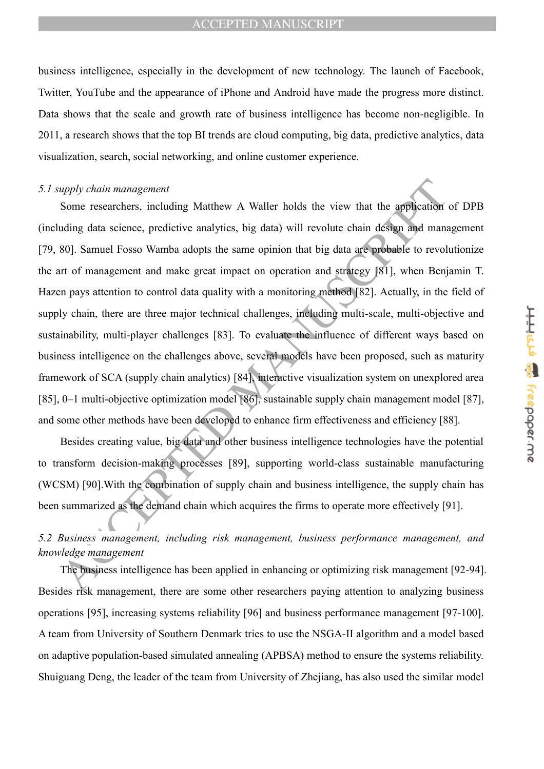business intelligence, especially in the development of new technology. The launch of Facebook, Twitter, YouTube and the appearance of iPhone and Android have made the progress more distinct. Data shows that the scale and growth rate of business intelligence has become non-negligible. In 2011, a research shows that the top BI trends are cloud computing, big data, predictive analytics, data visualization, search, social networking, and online customer experience.

#### *5.1 supply chain management*

*upply chain management*<br>Some researchers, including Matthew A Waller holds the view that the application<br>suling data seience, predictive analyties, big data) will revolute chain design and mans<br>80]. Samuel Fosso Wamba ado Some researchers, including Matthew A Waller holds the view that the application of DPB (including data science, predictive analytics, big data) will revolute chain design and management [79, 80]. Samuel Fosso Wamba adopts the same opinion that big data are probable to revolutionize the art of management and make great impact on operation and strategy [81], when Benjamin T. Hazen pays attention to control data quality with a monitoring method [82]. Actually, in the field of supply chain, there are three major technical challenges, including multi-scale, multi-objective and sustainability, multi-player challenges [83]. To evaluate the influence of different ways based on business intelligence on the challenges above, several models have been proposed, such as maturity framework of SCA (supply chain analytics) [84], interactive visualization system on unexplored area [85], 0–1 multi-objective optimization model [86], sustainable supply chain management model [87], and some other methods have been developed to enhance firm effectiveness and efficiency [88].

Besides creating value, big data and other business intelligence technologies have the potential to transform decision-making processes [89], supporting world-class sustainable manufacturing (WCSM) [90].With the combination of supply chain and business intelligence, the supply chain has been summarized as the demand chain which acquires the firms to operate more effectively [91].

## *5.2 Business management, including risk management, business performance management, and knowledge management*

The business intelligence has been applied in enhancing or optimizing risk management [92-94]. Besides risk management, there are some other researchers paying attention to analyzing business operations [95], increasing systems reliability [96] and business performance management [97-100]. A team from University of Southern Denmark tries to use the NSGA-II algorithm and a model based on adaptive population-based simulated annealing (APBSA) method to ensure the systems reliability. Shuiguang Deng, the leader of the team from University of Zhejiang, has also used the similar model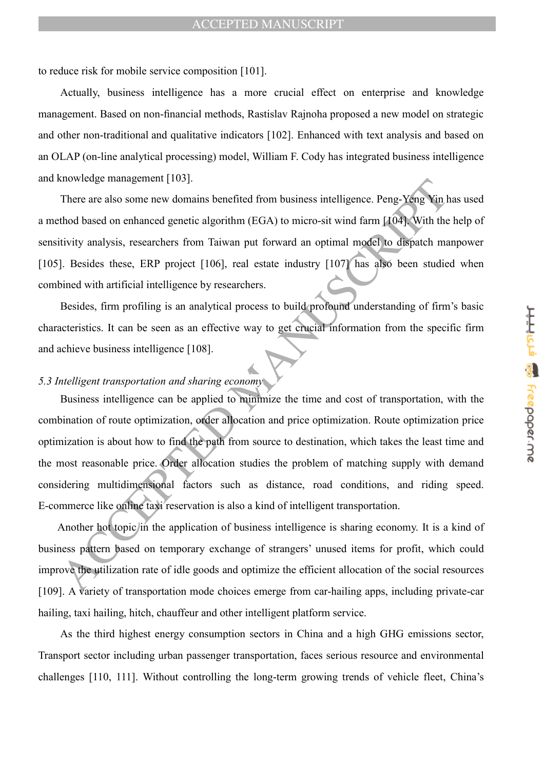to reduce risk for mobile service composition [101].

Actually, business intelligence has a more crucial effect on enterprise and knowledge management. Based on non-financial methods, Rastislav Rajnoha proposed a new model on strategic and other non-traditional and qualitative indicators [102]. Enhanced with text analysis and based on an OLAP (on-line analytical processing) model, William F. Cody has integrated business intelligence and knowledge management [103].

There are also some new domains benefited from business intelligence. Peng-Yeng Yin has used a method based on enhanced genetic algorithm (EGA) to micro-sit wind farm [104]. With the help of sensitivity analysis, researchers from Taiwan put forward an optimal model to dispatch manpower [105]. Besides these, ERP project [106], real estate industry [107] has also been studied when combined with artificial intelligence by researchers.

Besides, firm profiling is an analytical process to build profound understanding of firm's basic characteristics. It can be seen as an effective way to get crucial information from the specific firm and achieve business intelligence [108].

## *5.3 Intelligent transportation and sharing economy*

Entre are also some new domains benefited from business intelligence. Peng-Yeng Yin There are also some new domains benefited from business intelligence. Peng-Yeng Yin Theodor on enhanced genetic algorithm (EGA) to micro-Business intelligence can be applied to minimize the time and cost of transportation, with the combination of route optimization, order allocation and price optimization. Route optimization price optimization is about how to find the path from source to destination, which takes the least time and the most reasonable price. Order allocation studies the problem of matching supply with demand considering multidimensional factors such as distance, road conditions, and riding speed. E-commerce like online taxi reservation is also a kind of intelligent transportation.

Another hot topic in the application of business intelligence is sharing economy. It is a kind of business pattern based on temporary exchange of strangers' unused items for profit, which could improve the utilization rate of idle goods and optimize the efficient allocation of the social resources [109]. A variety of transportation mode choices emerge from car-hailing apps, including private-car hailing, taxi hailing, hitch, chauffeur and other intelligent platform service.

As the third highest energy consumption sectors in China and a high GHG emissions sector, Transport sector including urban passenger transportation, faces serious resource and environmental challenges [110, 111]. Without controlling the long-term growing trends of vehicle fleet, China's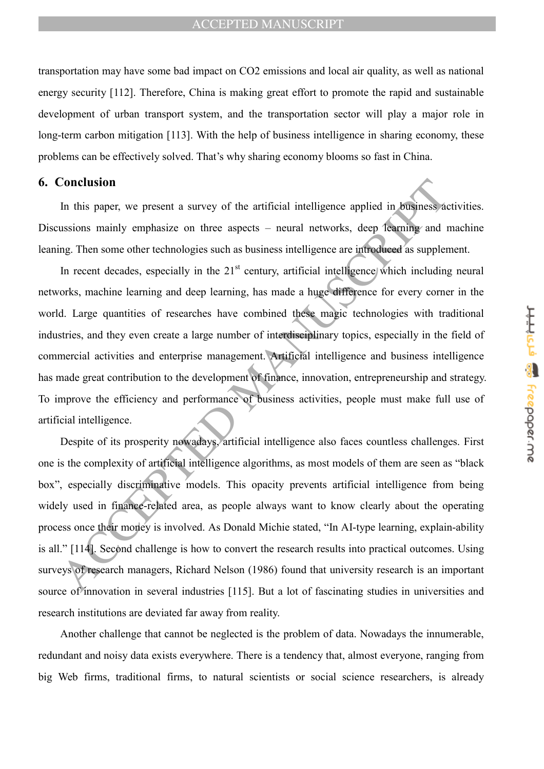transportation may have some bad impact on CO2 emissions and local air quality, as well as national energy security [112]. Therefore, China is making great effort to promote the rapid and sustainable development of urban transport system, and the transportation sector will play a major role in long-term carbon mitigation [113]. With the help of business intelligence in sharing economy, these problems can be effectively solved. That's why sharing economy blooms so fast in China.

### **6. Conclusion**

In this paper, we present a survey of the artificial intelligence applied in business activities. Discussions mainly emphasize on three aspects – neural networks, deep learning and machine leaning. Then some other technologies such as business intelligence are introduced as supplement.

**Conclusion**<br>
In this paper, we present a survey of the artificial intelligence applied in BRINDESS at ussions mainly emphasize on three aspects – neural networks, deep fearing and rg. Then some other technologies such as In recent decades, especially in the  $21<sup>st</sup>$  century, artificial intelligence which including neural networks, machine learning and deep learning, has made a huge difference for every corner in the world. Large quantities of researches have combined these magic technologies with traditional industries, and they even create a large number of interdisciplinary topics, especially in the field of commercial activities and enterprise management. Artificial intelligence and business intelligence has made great contribution to the development of finance, innovation, entrepreneurship and strategy. To improve the efficiency and performance of business activities, people must make full use of artificial intelligence.

Despite of its prosperity nowadays, artificial intelligence also faces countless challenges. First one is the complexity of artificial intelligence algorithms, as most models of them are seen as "black box", especially discriminative models. This opacity prevents artificial intelligence from being widely used in finance-related area, as people always want to know clearly about the operating process once their money is involved. As Donald Michie stated, "In AI-type learning, explain-ability is all." [114]. Second challenge is how to convert the research results into practical outcomes. Using surveys of research managers, Richard Nelson (1986) found that university research is an important source of innovation in several industries [115]. But a lot of fascinating studies in universities and research institutions are deviated far away from reality.

Another challenge that cannot be neglected is the problem of data. Nowadays the innumerable, redundant and noisy data exists everywhere. There is a tendency that, almost everyone, ranging from big Web firms, traditional firms, to natural scientists or social science researchers, is already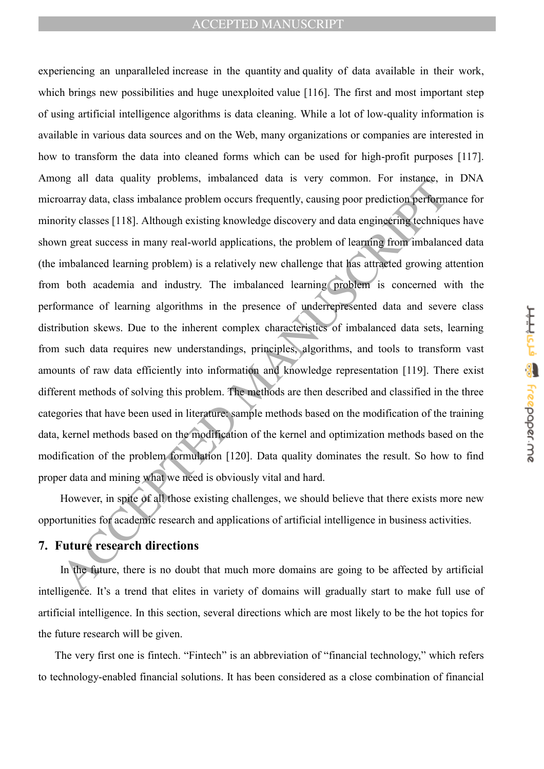ing an unat quanty problems, imparanced uata is very common. For instance, in<br>ourray data, class imbalance problem occurs frequently, causing poor prediction-perform<br>inty classes [118]. Although existing knowledge discover experiencing an unparalleled increase in the quantity and quality of data available in their work, which brings new possibilities and huge unexploited value [116]. The first and most important step of using artificial intelligence algorithms is data cleaning. While a lot of low-quality information is available in various data sources and on the Web, many organizations or companies are interested in how to transform the data into cleaned forms which can be used for high-profit purposes [117]. Among all data quality problems, imbalanced data is very common. For instance, in DNA microarray data, class imbalance problem occurs frequently, causing poor prediction performance for minority classes [118]. Although existing knowledge discovery and data engineering techniques have shown great success in many real-world applications, the problem of learning from imbalanced data (the imbalanced learning problem) is a relatively new challenge that has attracted growing attention from both academia and industry. The imbalanced learning problem is concerned with the performance of learning algorithms in the presence of underrepresented data and severe class distribution skews. Due to the inherent complex characteristics of imbalanced data sets, learning from such data requires new understandings, principles, algorithms, and tools to transform vast amounts of raw data efficiently into information and knowledge representation [119]. There exist different methods of solving this problem. The methods are then described and classified in the three categories that have been used in literature: sample methods based on the modification of the training data, kernel methods based on the modification of the kernel and optimization methods based on the modification of the problem formulation [120]. Data quality dominates the result. So how to find proper data and mining what we need is obviously vital and hard.

However, in spite of all those existing challenges, we should believe that there exists more new opportunities for academic research and applications of artificial intelligence in business activities.

# **7. Future research directions**

In the future, there is no doubt that much more domains are going to be affected by artificial intelligence. It's a trend that elites in variety of domains will gradually start to make full use of artificial intelligence. In this section, several directions which are most likely to be the hot topics for the future research will be given.

The very first one is fintech. "Fintech" is an abbreviation of "financial technology," which refers to technology-enabled financial solutions. It has been considered as a close combination of financial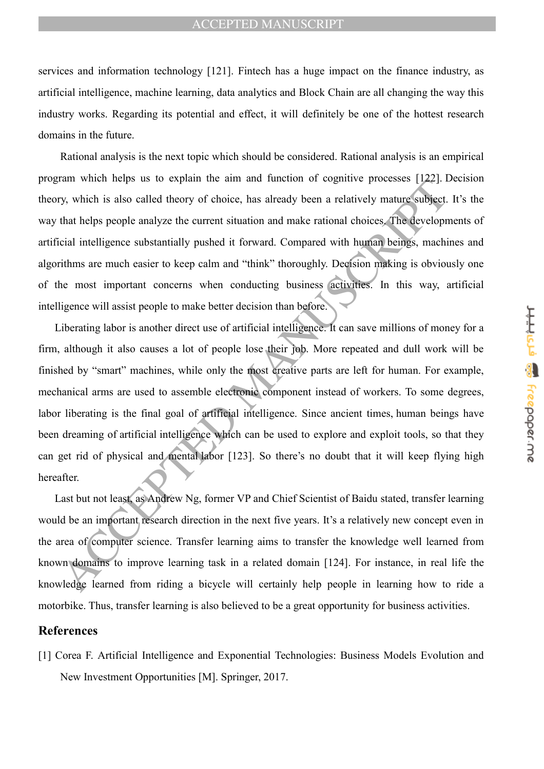services and information technology [121]. Fintech has a huge impact on the finance industry, as artificial intelligence, machine learning, data analytics and Block Chain are all changing the way this industry works. Regarding its potential and effect, it will definitely be one of the hottest research domains in the future.

Rational analysis is the next topic which should be considered. Rational analysis is an empirical program which helps us to explain the aim and function of cognitive processes [122]. Decision theory, which is also called theory of choice, has already been a relatively mature subject. It's the way that helps people analyze the current situation and make rational choices. The developments of artificial intelligence substantially pushed it forward. Compared with human beings, machines and algorithms are much easier to keep calm and "think" thoroughly. Decision making is obviously one of the most important concerns when conducting business activities. In this way, artificial intelligence will assist people to make better decision than before.

The when helps us to expain the aim and unction or eigenve processes  $1/24$ .<br>
Ty, which is also called theory of choice, has already been a relatively matrix subject.<br>
that helps people analyze the current situation and m Liberating labor is another direct use of artificial intelligence. It can save millions of money for a firm, although it also causes a lot of people lose their job. More repeated and dull work will be finished by "smart" machines, while only the most creative parts are left for human. For example, mechanical arms are used to assemble electronic component instead of workers. To some degrees, labor liberating is the final goal of artificial intelligence. Since ancient times, human beings have been dreaming of artificial intelligence which can be used to explore and exploit tools, so that they can get rid of physical and mental labor [123]. So there's no doubt that it will keep flying high hereafter.

Last but not least, as Andrew Ng, former VP and Chief Scientist of Baidu stated, transfer learning would be an important research direction in the next five years. It's a relatively new concept even in the area of computer science. Transfer learning aims to transfer the knowledge well learned from known domains to improve learning task in a related domain [124]. For instance, in real life the knowledge learned from riding a bicycle will certainly help people in learning how to ride a motorbike. Thus, transfer learning is also believed to be a great opportunity for business activities.

## **References**

[1] Corea F. Artificial Intelligence and Exponential Technologies: Business Models Evolution and New Investment Opportunities [M]. Springer, 2017.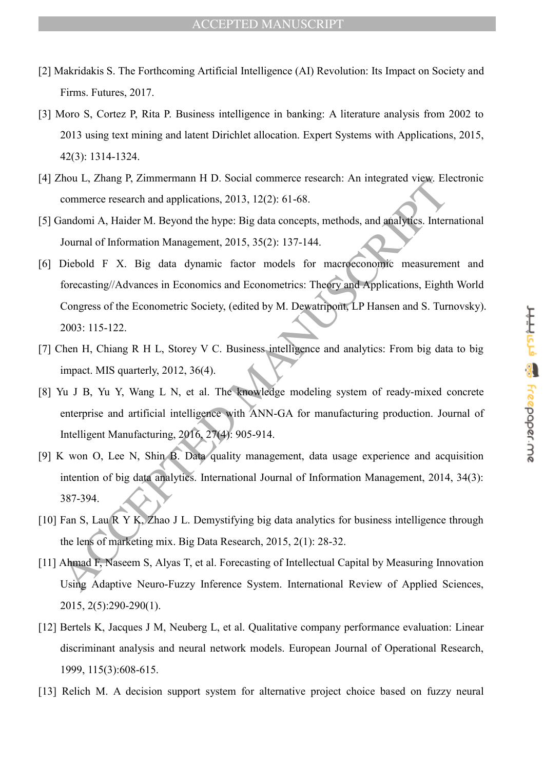- [2] Makridakis S. The Forthcoming Artificial Intelligence (AI) Revolution: Its Impact on Society and Firms. Futures, 2017.
- [3] Moro S, Cortez P, Rita P. Business intelligence in banking: A literature analysis from 2002 to 2013 using text mining and latent Dirichlet allocation. Expert Systems with Applications, 2015, 42(3): 1314-1324.
- [4] Zhou L, Zhang P, Zimmermann H D. Social commerce research: An integrated view. Electronic commerce research and applications, 2013, 12(2): 61-68.
- [5] Gandomi A, Haider M. Beyond the hype: Big data concepts, methods, and analytics. International Journal of Information Management, 2015, 35(2): 137-144.
- Thoula Is, *Zanaly P*, *Zanmenhamn Pr D. Social commetice research. An imaginate view, randomi A, Haider M. Beyond the hype: Big data concepts, methods, and analytics. International of Information Management, 2015, 35(2):* [6] Diebold F X. Big data dynamic factor models for macroeconomic measurement and forecasting//Advances in Economics and Econometrics: Theory and Applications, Eighth World Congress of the Econometric Society, (edited by M. Dewatripont, LP Hansen and S. Turnovsky). 2003: 115-122.
- [7] Chen H, Chiang R H L, Storey V C. Business intelligence and analytics: From big data to big impact. MIS quarterly, 2012, 36(4).
- [8] Yu J B, Yu Y, Wang L N, et al. The knowledge modeling system of ready-mixed concrete enterprise and artificial intelligence with ANN-GA for manufacturing production. Journal of Intelligent Manufacturing, 2016, 27(4): 905-914.
- [9] K won O, Lee N, Shin B. Data quality management, data usage experience and acquisition intention of big data analytics. International Journal of Information Management, 2014, 34(3): 387-394.
- [10] Fan S, Lau R Y K, Zhao J L. Demystifying big data analytics for business intelligence through the lens of marketing mix. Big Data Research, 2015, 2(1): 28-32.
- [11] Ahmad F, Naseem S, Alyas T, et al. Forecasting of Intellectual Capital by Measuring Innovation Using Adaptive Neuro-Fuzzy Inference System. International Review of Applied Sciences, 2015, 2(5):290-290(1).
- [12] Bertels K, Jacques J M, Neuberg L, et al. Qualitative company performance evaluation: Linear discriminant analysis and neural network models. European Journal of Operational Research, 1999, 115(3):608-615.
- [13] Relich M. A decision support system for alternative project choice based on fuzzy neural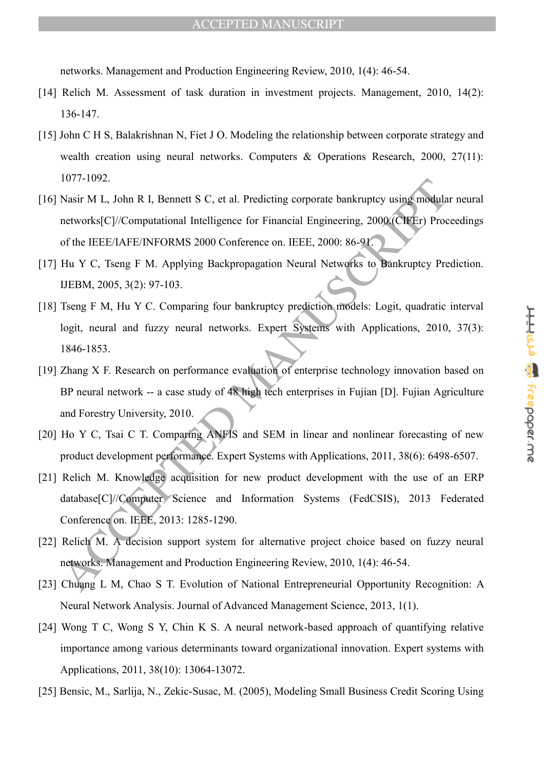networks. Management and Production Engineering Review, 2010, 1(4): 46-54.

- [14] Relich M. Assessment of task duration in investment projects. Management, 2010, 14(2): 136-147.
- [15] John C H S, Balakrishnan N, Fiet J O. Modeling the relationship between corporate strategy and wealth creation using neural networks. Computers & Operations Research, 2000, 27(11): 1077-1092.
- [16] Nasir M L, John R I, Bennett S C, et al. Predicting corporate bankruptcy using modular neural networks[C]//Computational Intelligence for Financial Engineering, 2000.(CIFEr) Proceedings of the IEEE/IAFE/INFORMS 2000 Conference on. IEEE, 2000: 86-91.
- [17] Hu Y C, Tseng F M. Applying Backpropagation Neural Networks to Bankruptcy Prediction. IJEBM, 2005, 3(2): 97-103.
- [18] Tseng F M, Hu Y C. Comparing four bankruptcy prediction models: Logit, quadratic interval logit, neural and fuzzy neural networks. Expert Systems with Applications, 2010, 37(3): 1846-1853.
- 1077-1092,<br>
Nasir M I<sub>3</sub>, John R I<sub>3</sub>, Remett S C, et al. Predicting corporate bankruptcy using modula<br>
networks (CV/Computational Intelligence for Financial Engineering, 2000 (CHEEr) Proof<br>
of the IEEE/AFE/INFORMS 2000 Co [19] Zhang X F. Research on performance evaluation of enterprise technology innovation based on BP neural network -- a case study of 48 high tech enterprises in Fujian [D]. Fujian Agriculture and Forestry University, 2010.
- [20] Ho Y C, Tsai C T. Comparing ANFIS and SEM in linear and nonlinear forecasting of new product development performance. Expert Systems with Applications, 2011, 38(6): 6498-6507.
- [21] Relich M. Knowledge acquisition for new product development with the use of an ERP database[C]//Computer Science and Information Systems (FedCSIS), 2013 Federated Conference on. IEEE, 2013: 1285-1290.
- [22] Relich M. A decision support system for alternative project choice based on fuzzy neural networks. Management and Production Engineering Review, 2010, 1(4): 46-54.
- [23] Chuang L M, Chao S T. Evolution of National Entrepreneurial Opportunity Recognition: A Neural Network Analysis. Journal of Advanced Management Science, 2013, 1(1).
- [24] Wong T C, Wong S Y, Chin K S. A neural network-based approach of quantifying relative importance among various determinants toward organizational innovation. Expert systems with Applications, 2011, 38(10): 13064-13072.
- [25] Bensic, M., Sarlija, N., Zekic-Susac, M. (2005), Modeling Small Business Credit Scoring Using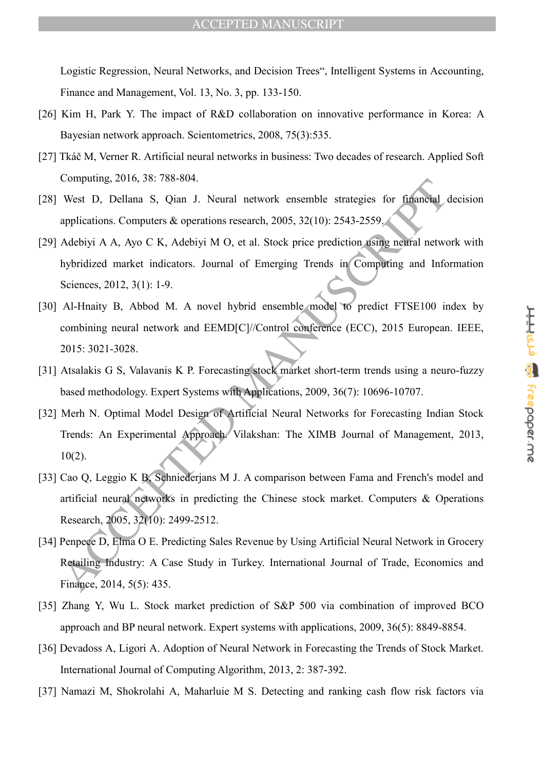Logistic Regression, Neural Networks, and Decision Trees", Intelligent Systems in Accounting, Finance and Management, Vol. 13, No. 3, pp. 133-150.

- [26] Kim H, Park Y. The impact of R&D collaboration on innovative performance in Korea: A Bayesian network approach. Scientometrics, 2008, 75(3):535.
- [27] Tkáč M, Verner R. Artificial neural networks in business: Two decades of research. Applied Soft Computing, 2016, 38: 788-804.
- [28] West D, Dellana S, Qian J. Neural network ensemble strategies for financial decision applications. Computers & operations research, 2005, 32(10): 2543-2559.
- [29] Adebiyi A A, Ayo C K, Adebiyi M O, et al. Stock price prediction using neural network with hybridized market indicators. Journal of Emerging Trends in Computing and Information Sciences, 2012, 3(1): 1-9.
- [30] Al-Hnaity B, Abbod M. A novel hybrid ensemble model to predict FTSE100 index by combining neural network and EEMD[C]//Control conference (ECC), 2015 European. IEEE, 2015: 3021-3028.
- [31] Atsalakis G S, Valavanis K P. Forecasting stock market short-term trends using a neuro-fuzzy based methodology. Expert Systems with Applications, 2009, 36(7): 10696-10707.
- Computing, 2010, 36. 768-604.<br>
West D, Dellana S, Qian J. Neural network ensemble strategies for financial<br>
applications. Computers & operations research, 2005, 32(10): 2543-2559,<br>
Adebiyi A A, Ayo C K, Adebiyi M O, et al. [32] Merh N. Optimal Model Design of Artificial Neural Networks for Forecasting Indian Stock Trends: An Experimental Approach. Vilakshan: The XIMB Journal of Management, 2013, 10(2).
- [33] Cao Q, Leggio K B, Schniederjans M J. A comparison between Fama and French's model and artificial neural networks in predicting the Chinese stock market. Computers & Operations Research, 2005, 32(10): 2499-2512.
- [34] Penpece D, Elma O E. Predicting Sales Revenue by Using Artificial Neural Network in Grocery Retailing Industry: A Case Study in Turkey. International Journal of Trade, Economics and Finance, 2014, 5(5): 435.
- [35] Zhang Y, Wu L. Stock market prediction of S&P 500 via combination of improved BCO approach and BP neural network. Expert systems with applications, 2009, 36(5): 8849-8854.
- [36] Devadoss A, Ligori A. Adoption of Neural Network in Forecasting the Trends of Stock Market. International Journal of Computing Algorithm, 2013, 2: 387-392.
- [37] Namazi M, Shokrolahi A, Maharluie M S. Detecting and ranking cash flow risk factors via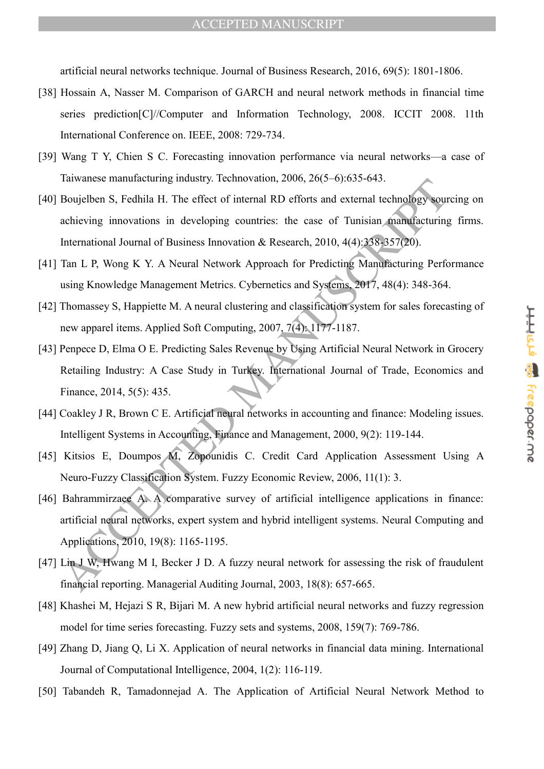artificial neural networks technique. Journal of Business Research, 2016, 69(5): 1801-1806.

- [38] Hossain A, Nasser M. Comparison of GARCH and neural network methods in financial time series prediction[C]//Computer and Information Technology, 2008. ICCIT 2008. 11th International Conference on. IEEE, 2008: 729-734.
- [39] Wang T Y, Chien S C. Forecasting innovation performance via neural networks—a case of Taiwanese manufacturing industry. Technovation, 2006, 26(5–6):635-643.
- Frameworkschemulateduring industry. Icentifyction, 2000, 20(3-0),033-043.<br>
Boujelben S, Fedhila H. The effect of internal RD efforts and external technology soure<br>
achieving innovations in developing countries: the ease o [40] Boujelben S, Fedhila H. The effect of internal RD efforts and external technology sourcing on achieving innovations in developing countries: the case of Tunisian manufacturing firms. International Journal of Business Innovation & Research, 2010, 4(4):338-357(20).
- [41] Tan L P, Wong K Y. A Neural Network Approach for Predicting Manufacturing Performance using Knowledge Management Metrics. Cybernetics and Systems, 2017, 48(4): 348-364.
- [42] Thomassey S, Happiette M. A neural clustering and classification system for sales forecasting of new apparel items. Applied Soft Computing, 2007, 7(4): 1177-1187.
- [43] Penpece D, Elma O E. Predicting Sales Revenue by Using Artificial Neural Network in Grocery Retailing Industry: A Case Study in Turkey. International Journal of Trade, Economics and Finance, 2014, 5(5): 435.
- [44] Coakley J R, Brown C E. Artificial neural networks in accounting and finance: Modeling issues. Intelligent Systems in Accounting, Finance and Management, 2000, 9(2): 119-144.
- [45] Kitsios E, Doumpos M, Zopounidis C. Credit Card Application Assessment Using A Neuro-Fuzzy Classification System. Fuzzy Economic Review, 2006, 11(1): 3.
- [46] Bahrammirzaee A. A comparative survey of artificial intelligence applications in finance: artificial neural networks, expert system and hybrid intelligent systems. Neural Computing and Applications, 2010, 19(8): 1165-1195.
- [47] Lin J W, Hwang M I, Becker J D. A fuzzy neural network for assessing the risk of fraudulent financial reporting. Managerial Auditing Journal, 2003, 18(8): 657-665.
- [48] Khashei M, Hejazi S R, Bijari M. A new hybrid artificial neural networks and fuzzy regression model for time series forecasting. Fuzzy sets and systems, 2008, 159(7): 769-786.
- [49] Zhang D, Jiang Q, Li X. Application of neural networks in financial data mining. International Journal of Computational Intelligence, 2004, 1(2): 116-119.
- [50] Tabandeh R, Tamadonnejad A. The Application of Artificial Neural Network Method to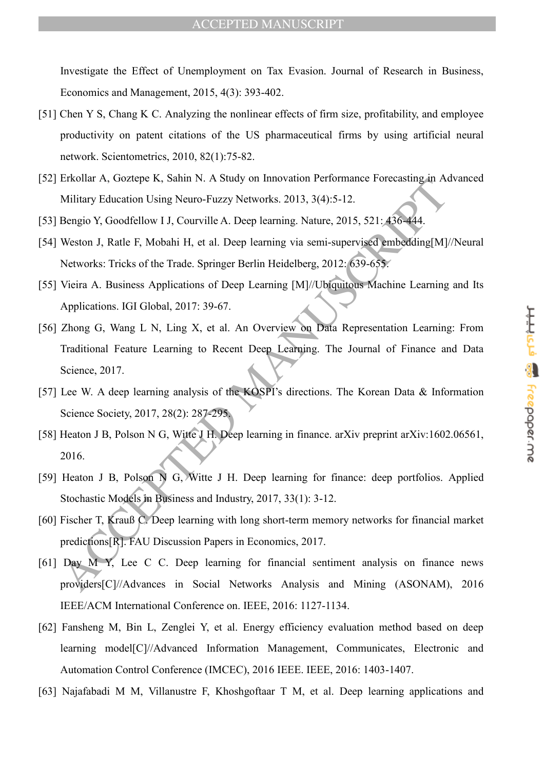Investigate the Effect of Unemployment on Tax Evasion. Journal of Research in Business, Economics and Management, 2015, 4(3): 393-402.

- [51] Chen Y S, Chang K C. Analyzing the nonlinear effects of firm size, profitability, and employee productivity on patent citations of the US pharmaceutical firms by using artificial neural network. Scientometrics, 2010, 82(1):75-82.
- [52] Erkollar A, Goztepe K, Sahin N. A Study on Innovation Performance Forecasting in Advanced Military Education Using Neuro-Fuzzy Networks. 2013, 3(4):5-12.
- [53] Bengio Y, Goodfellow I J, Courville A. Deep learning. Nature, 2015, 521: 436-444.
- [54] Weston J, Ratle F, Mobahi H, et al. Deep learning via semi-supervised embedding[M]//Neural Networks: Tricks of the Trade. Springer Berlin Heidelberg, 2012: 639-655.
- [55] Vieira A. Business Applications of Deep Learning [M]//Ubiquitous Machine Learning and Its Applications. IGI Global, 2017: 39-67.
- Priconal A, GoZiepe K, Salini N. A Study of Imiovation Performance Polecasing an A<br>
Military Education Using Neuro-Fuzzy Networks. 2013, 3(4):5-12.<br>
Bengio Y, Goodfellow 11, Courville A. Deep learning Wat semi-supervised [56] Zhong G, Wang L N, Ling X, et al. An Overview on Data Representation Learning: From Traditional Feature Learning to Recent Deep Learning. The Journal of Finance and Data Science, 2017.
- [57] Lee W. A deep learning analysis of the KOSPI's directions. The Korean Data & Information Science Society, 2017, 28(2): 287-295.
- [58] Heaton J B, Polson N G, Witte J H. Deep learning in finance. arXiv preprint arXiv:1602.06561, 2016.
- [59] Heaton J B, Polson N G, Witte J H. Deep learning for finance: deep portfolios. Applied Stochastic Models in Business and Industry, 2017, 33(1): 3-12.
- [60] Fischer T, Krauß C. Deep learning with long short-term memory networks for financial market predictions[R]. FAU Discussion Papers in Economics, 2017.
- [61] Day M Y, Lee C C. Deep learning for financial sentiment analysis on finance news providers[C]//Advances in Social Networks Analysis and Mining (ASONAM), 2016 IEEE/ACM International Conference on. IEEE, 2016: 1127-1134.
- [62] Fansheng M, Bin L, Zenglei Y, et al. Energy efficiency evaluation method based on deep learning model[C]//Advanced Information Management, Communicates, Electronic and Automation Control Conference (IMCEC), 2016 IEEE. IEEE, 2016: 1403-1407.
- [63] Najafabadi M M, Villanustre F, Khoshgoftaar T M, et al. Deep learning applications and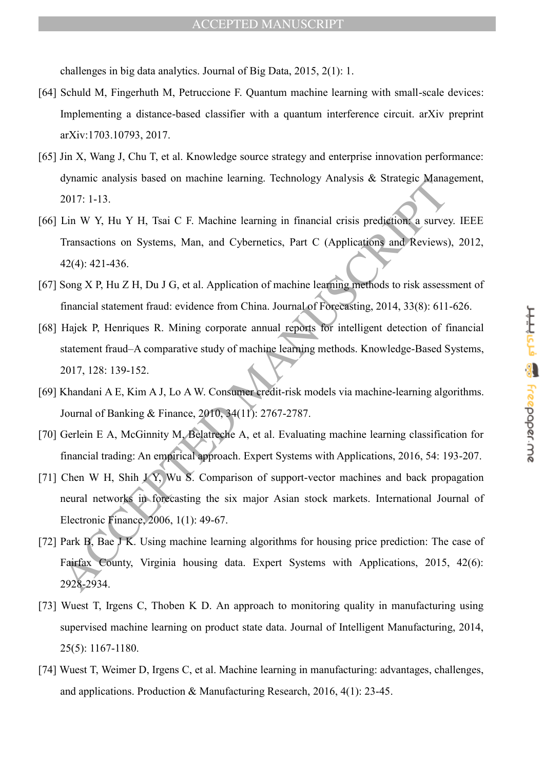challenges in big data analytics. Journal of Big Data, 2015, 2(1): 1.

- [64] Schuld M, Fingerhuth M, Petruccione F. Quantum machine learning with small-scale devices: Implementing a distance-based classifier with a quantum interference circuit. arXiv preprint arXiv:1703.10793, 2017.
- [65] Jin X, Wang J, Chu T, et al. Knowledge source strategy and enterprise innovation performance: dynamic analysis based on machine learning. Technology Analysis & Strategic Management, 2017: 1-13.
- dynamic analysis lossed on indefinite carring. Technology Analysis as Strategie waria<br>2017: 1-13.<br>Lin W Y, Hu Y H, Tsai C F. Machine learning in financial crisis prediction a survey<br>Transactions on Systems, Man, and Cybern [66] Lin W Y, Hu Y H, Tsai C F. Machine learning in financial crisis prediction: a survey. IEEE Transactions on Systems, Man, and Cybernetics, Part C (Applications and Reviews), 2012, 42(4): 421-436.
- [67] Song X P, Hu Z H, Du J G, et al. Application of machine learning methods to risk assessment of financial statement fraud: evidence from China. Journal of Forecasting, 2014, 33(8): 611-626.
- [68] Hajek P, Henriques R. Mining corporate annual reports for intelligent detection of financial statement fraud–A comparative study of machine learning methods. Knowledge-Based Systems, 2017, 128: 139-152.
- [69] Khandani A E, Kim A J, Lo A W. Consumer credit-risk models via machine-learning algorithms. Journal of Banking & Finance, 2010, 34(11): 2767-2787.
- [70] Gerlein E A, McGinnity M, Belatreche A, et al. Evaluating machine learning classification for financial trading: An empirical approach. Expert Systems with Applications, 2016, 54: 193-207.
- [71] Chen W H, Shih J $\overline{Y}$ , Wu S. Comparison of support-vector machines and back propagation neural networks in forecasting the six major Asian stock markets. International Journal of Electronic Finance, 2006, 1(1): 49-67.
- [72] Park B, Bae J K. Using machine learning algorithms for housing price prediction: The case of Fairfax County, Virginia housing data. Expert Systems with Applications, 2015, 42(6): 2928-2934.
- [73] Wuest T, Irgens C, Thoben K D. An approach to monitoring quality in manufacturing using supervised machine learning on product state data. Journal of Intelligent Manufacturing, 2014, 25(5): 1167-1180.
- [74] Wuest T, Weimer D, Irgens C, et al. Machine learning in manufacturing: advantages, challenges, and applications. Production & Manufacturing Research, 2016, 4(1): 23-45.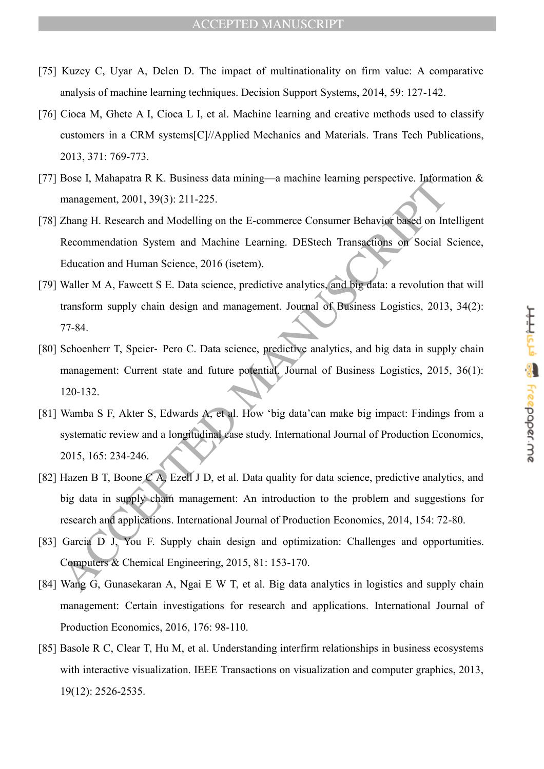- [75] Kuzey C, Uyar A, Delen D. The impact of multinationality on firm value: A comparative analysis of machine learning techniques. Decision Support Systems, 2014, 59: 127-142.
- [76] Cioca M, Ghete A I, Cioca L I, et al. Machine learning and creative methods used to classify customers in a CRM systems[C]//Applied Mechanics and Materials. Trans Tech Publications, 2013, 371: 769-773.
- [77] Bose I, Mahapatra R K. Business data mining—a machine learning perspective. Information & management, 2001, 39(3): 211-225.
- [78] Zhang H. Research and Modelling on the E-commerce Consumer Behavior based on Intelligent Recommendation System and Machine Learning. DEStech Transactions on Social Science, Education and Human Science, 2016 (isetem).
- [79] Waller M A, Fawcett S E. Data science, predictive analytics, and big data: a revolution that will transform supply chain design and management. Journal of Business Logistics, 2013, 34(2): 77-84.
- [80] Schoenherr T, Speier- Pero C. Data science, predictive analytics, and big data in supply chain management: Current state and future potential. Journal of Business Logistics, 2015, 36(1): 120-132.
- From Handletta K. R. Fusiness data mining—a inactivity characteristic commentation system and Modelling on the E-commerce Consumer Behavior based on Internation and Handletting on the E-commerce Consumer Behavior based on [81] Wamba S F, Akter S, Edwards A, et al. How 'big data'can make big impact: Findings from a systematic review and a longitudinal case study. International Journal of Production Economics, 2015, 165: 234-246.
- [82] Hazen B T, Boone C A, Ezell J D, et al. Data quality for data science, predictive analytics, and big data in supply chain management: An introduction to the problem and suggestions for research and applications. International Journal of Production Economics, 2014, 154: 72-80.
- [83] Garcia D J, You F. Supply chain design and optimization: Challenges and opportunities. Computers & Chemical Engineering, 2015, 81: 153-170.
- [84] Wang G, Gunasekaran A, Ngai E W T, et al. Big data analytics in logistics and supply chain management: Certain investigations for research and applications. International Journal of Production Economics, 2016, 176: 98-110.
- [85] Basole R C, Clear T, Hu M, et al. Understanding interfirm relationships in business ecosystems with interactive visualization. IEEE Transactions on visualization and computer graphics, 2013, 19(12): 2526-2535.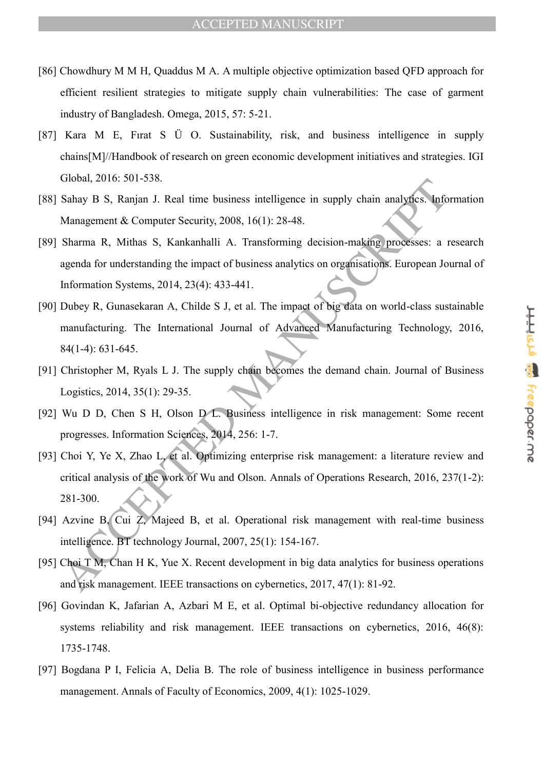- [86] Chowdhury M M H, Quaddus M A. A multiple objective optimization based QFD approach for efficient resilient strategies to mitigate supply chain vulnerabilities: The case of garment industry of Bangladesh. Omega, 2015, 57: 5-21.
- [87] Kara M E, Fırat S Ü O. Sustainability, risk, and business intelligence in supply chains[M]//Handbook of research on green economic development initiatives and strategies. IGI Global, 2016: 501-538.
- [88] Sahay B S, Ranjan J. Real time business intelligence in supply chain analytics. Information Management & Computer Security, 2008, 16(1): 28-48.
- [89] Sharma R, Mithas S, Kankanhalli A. Transforming decision-making processes: a research agenda for understanding the impact of business analytics on organisations. European Journal of Information Systems, 2014, 23(4): 433-441.
- CHOUSE, 2010, 301-336.<br>
Sahay B S, Ranjan J. Real time business intelligence in supply chain analytics. Info<br>
Management & Computer Sceurity, 2008, 16(1): 28-48.<br>
Sharma R, Mithas S, Kankanhalli A. Transforming decision-m [90] Dubey R, Gunasekaran A, Childe S J, et al. The impact of big data on world-class sustainable manufacturing. The International Journal of Advanced Manufacturing Technology, 2016, 84(1-4): 631-645.
- [91] Christopher M, Ryals L J. The supply chain becomes the demand chain. Journal of Business Logistics, 2014, 35(1): 29-35.
- [92] Wu D D, Chen S H, Olson D L. Business intelligence in risk management: Some recent progresses. Information Sciences, 2014, 256: 1-7.
- [93] Choi Y, Ye X, Zhao L, et al. Optimizing enterprise risk management: a literature review and critical analysis of the work of Wu and Olson. Annals of Operations Research, 2016, 237(1-2): 281-300.
- [94] Azvine B, Cui Z, Majeed B, et al. Operational risk management with real-time business intelligence. BT technology Journal, 2007, 25(1): 154-167.
- [95] Choi T M, Chan H K, Yue X. Recent development in big data analytics for business operations and risk management. IEEE transactions on cybernetics, 2017, 47(1): 81-92.
- [96] Govindan K, Jafarian A, Azbari M E, et al. Optimal bi-objective redundancy allocation for systems reliability and risk management. IEEE transactions on cybernetics, 2016, 46(8): 1735-1748.
- [97] Bogdana P I, Felicia A, Delia B. The role of business intelligence in business performance management. Annals of Faculty of Economics, 2009, 4(1): 1025-1029.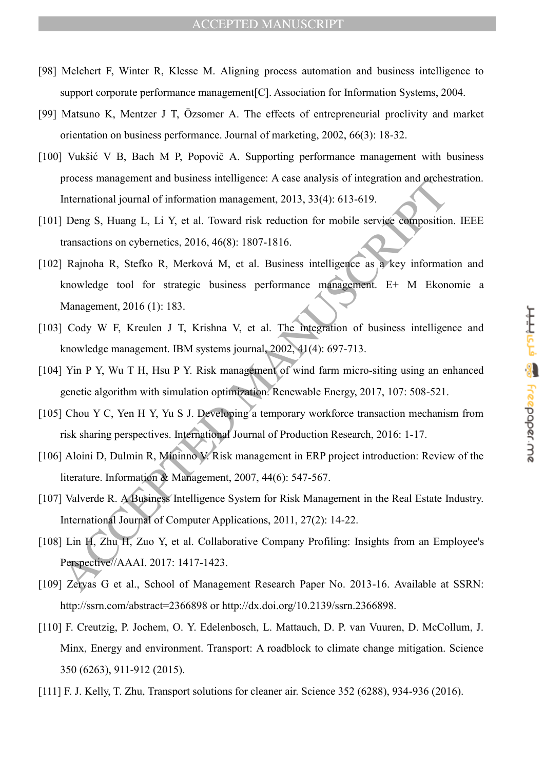- [98] Melchert F, Winter R, Klesse M. Aligning process automation and business intelligence to support corporate performance management[C]. Association for Information Systems, 2004.
- [99] Matsuno K, Mentzer J T, Özsomer A. The effects of entrepreneurial proclivity and market orientation on business performance. Journal of marketing, 2002, 66(3): 18-32.
- [100] Vukšić V B, Bach M P, Popovič A. Supporting performance management with business process management and business intelligence: A case analysis of integration and orchestration. International journal of information management, 2013, 33(4): 613-619.
- [101] Deng S, Huang L, Li Y, et al. Toward risk reduction for mobile service composition. IEEE transactions on cybernetics, 2016, 46(8): 1807-1816.
- process management and business intemperate. *N* case analysis of integration and preferentional journal of information management, 2013, 33(4): 613-619.<br>
I Deng S, Huang I., Li Y, et al. Toward risk reduction for mobile s [102] Rajnoha R, Stefko R, Merková M, et al. Business intelligence as a key information and knowledge tool for strategic business performance management. E+ M Ekonomie a Management, 2016 (1): 183.
- [103] Cody W F, Kreulen J T, Krishna V, et al. The integration of business intelligence and knowledge management. IBM systems journal, 2002, 41(4): 697-713.
- [104] Yin P Y, Wu T H, Hsu P Y. Risk management of wind farm micro-siting using an enhanced genetic algorithm with simulation optimization. Renewable Energy, 2017, 107: 508-521.
- [105] Chou Y C, Yen H Y, Yu S J. Developing a temporary workforce transaction mechanism from risk sharing perspectives. International Journal of Production Research, 2016: 1-17.
- [106] Aloini D, Dulmin R, Mininno V. Risk management in ERP project introduction: Review of the literature. Information & Management, 2007, 44(6): 547-567.
- [107] Valverde R. A Business Intelligence System for Risk Management in the Real Estate Industry. International Journal of Computer Applications, 2011, 27(2): 14-22.
- [108] Lin H, Zhu H, Zuo Y, et al. Collaborative Company Profiling: Insights from an Employee's Perspective//AAAI. 2017: 1417-1423.
- [109] Zervas G et al., School of Management Research Paper No. 2013-16. Available at SSRN: http://ssrn.com/abstract=2366898 or http://dx.doi.org/10.2139/ssrn.2366898.
- [110] F. Creutzig, P. Jochem, O. Y. Edelenbosch, L. Mattauch, D. P. van Vuuren, D. McCollum, J. Minx, Energy and environment. Transport: A roadblock to climate change mitigation. Science 350 (6263), 911-912 (2015).
- [111] F. J. Kelly, T. Zhu, Transport solutions for cleaner air. Science 352 (6288), 934-936 (2016).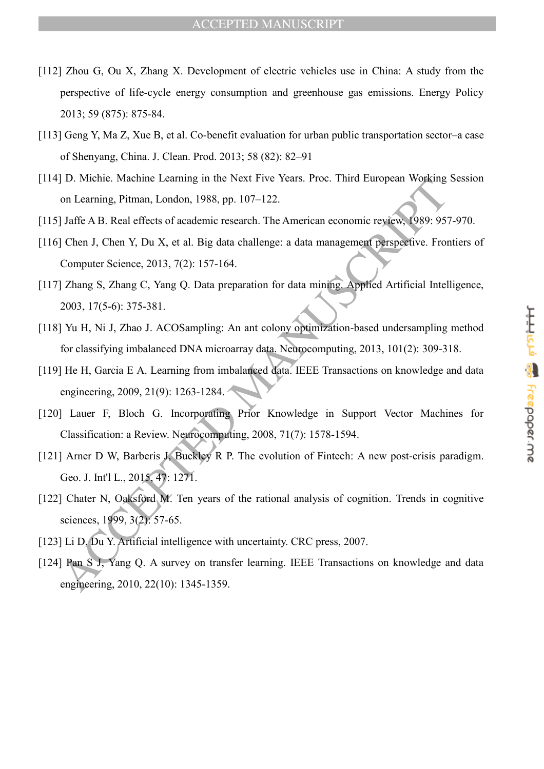- [112] Zhou G, Ou X, Zhang X. Development of electric vehicles use in China: A study from the perspective of life-cycle energy consumption and greenhouse gas emissions. Energy Policy 2013; 59 (875): 875-84.
- [113] Geng Y, Ma Z, Xue B, et al. Co-benefit evaluation for urban public transportation sector–a case of Shenyang, China. J. Clean. Prod. 2013; 58 (82): 82–91
- [114] D. Michie. Machine Learning in the Next Five Years. Proc. Third European Working Session on Learning, Pitman, London, 1988, pp. 107–122.
- [115] Jaffe A B. Real effects of academic research. The American economic review, 1989: 957-970.
- [116] Chen J, Chen Y, Du X, et al. Big data challenge: a data management perspective. Frontiers of Computer Science, 2013, 7(2): 157-164.
- 10. whenc. Watchme Teatring in the Next Five Teats, Froc. Thin Fulopean Working<br>on Learning, Pitman, London, 1988, pp. 107–122.<br>J Jaffe A B. Real effects of academic research. The American economic reviews (989: 95°;<br>Compu [117] Zhang S, Zhang C, Yang Q. Data preparation for data mining. Applied Artificial Intelligence, 2003, 17(5-6): 375-381.
- [118] Yu H, Ni J, Zhao J. ACOSampling: An ant colony optimization-based undersampling method for classifying imbalanced DNA microarray data. Neurocomputing, 2013, 101(2): 309-318.
- [119] He H, Garcia E A. Learning from imbalanced data. IEEE Transactions on knowledge and data engineering, 2009, 21(9): 1263-1284.
- [120] Lauer F, Bloch G. Incorporating Prior Knowledge in Support Vector Machines for Classification: a Review. Neurocomputing, 2008, 71(7): 1578-1594.
- [121] Arner D W, Barberis J, Buckley R P. The evolution of Fintech: A new post-crisis paradigm. Geo. J. Int'l L., 2015, 47: 1271.
- [122] Chater N, Oaksford M. Ten years of the rational analysis of cognition. Trends in cognitive sciences, 1999, 3(2): 57-65.
- [123] Li D, Du Y. Artificial intelligence with uncertainty. CRC press, 2007.
- [124] Pan S J, Yang Q. A survey on transfer learning. IEEE Transactions on knowledge and data engineering, 2010, 22(10): 1345-1359.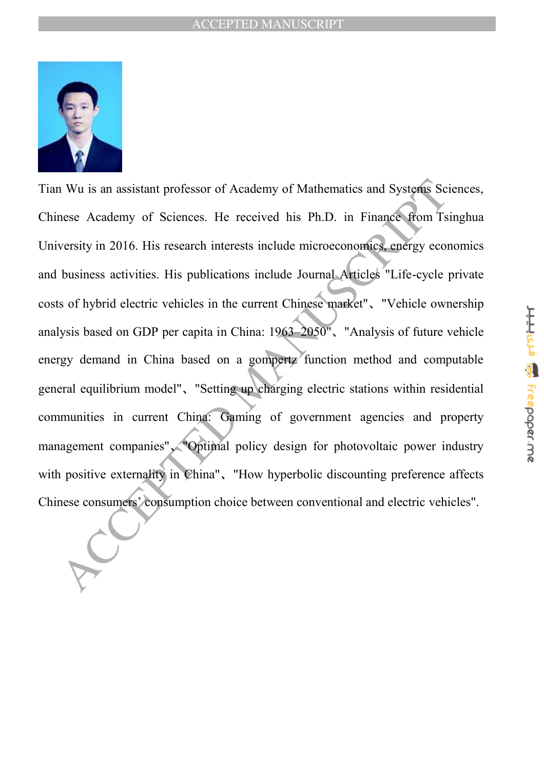

Nu is an assistant professor of Academy of Mathematics and Systems Sc<br>nese Academy of Sciences. He received his Ph.D. in Finance from Ts<br>versity in 2016. His research interests include microeconomics, energy eco<br>business a Tian Wu is an assistant professor of Academy of Mathematics and Systems Sciences, Chinese Academy of Sciences. He received his Ph.D. in Finance from Tsinghua University in 2016. His research interests include microeconomics, energy economics and business activities. His publications include Journal Articles "Life-cycle private costs of hybrid electric vehicles in the current Chinese market"、"Vehicle ownership analysis based on GDP per capita in China: 1963–2050"、"Analysis of future vehicle energy demand in China based on a gompertz function method and computable general equilibrium model"、"Setting up charging electric stations within residential communities in current China: Gaming of government agencies and property management companies"、"Optimal policy design for photovoltaic power industry with positive externality in China", "How hyperbolic discounting preference affects Chinese consumers' consumption choice between conventional and electric vehicles".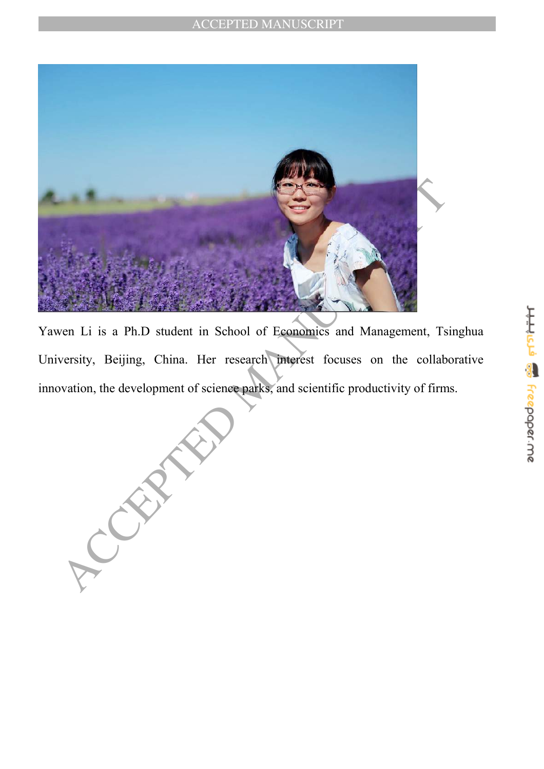

Yawen Li is a Ph.D student in School of Economics and Management, Tsinghua University, Beijing, China. Her research interest focuses on the collaborative innovation, the development of science parks, and scientific productivity of firms.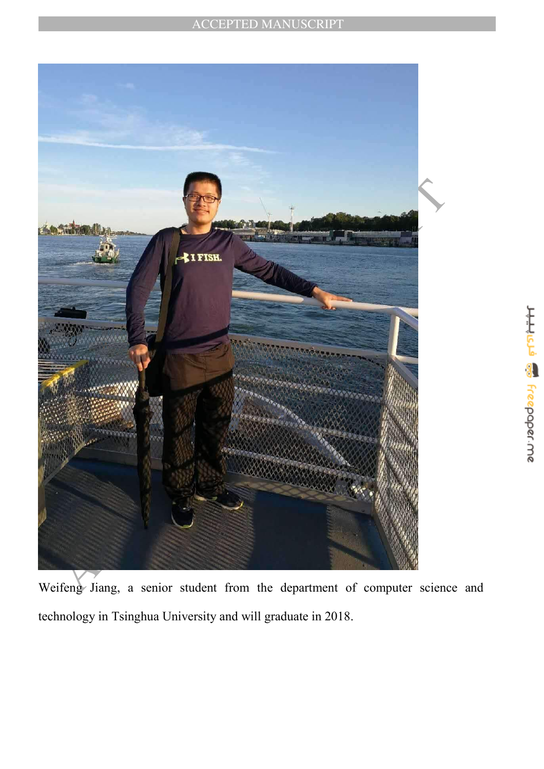

technology in Tsinghua University and will graduate in 2018.